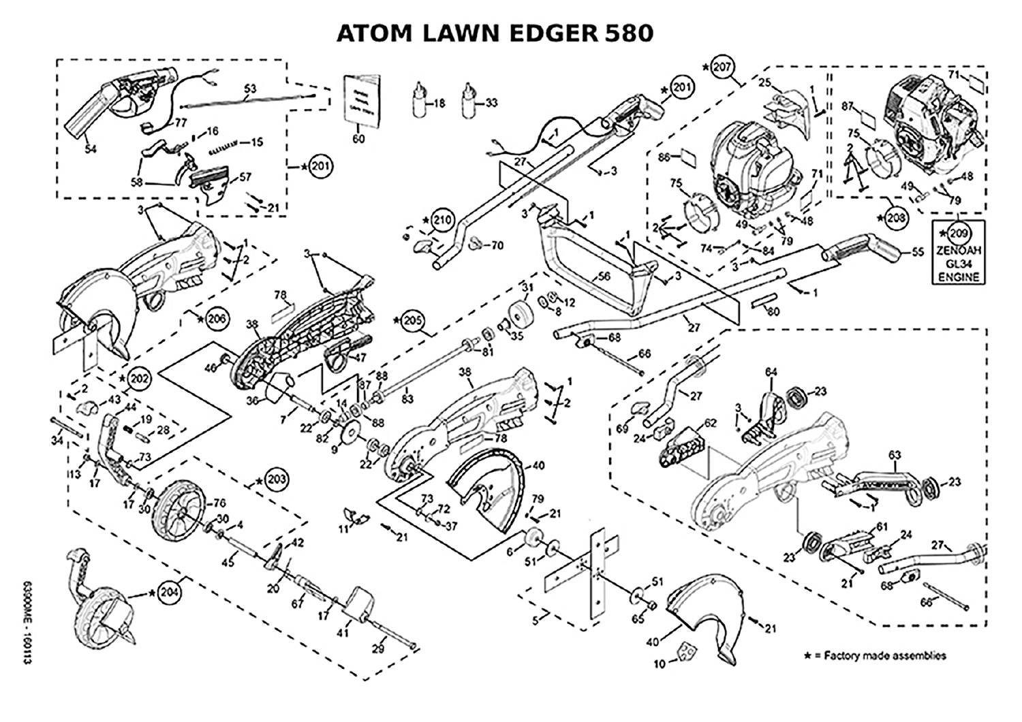## **ATOM LAWN EDGER 580**